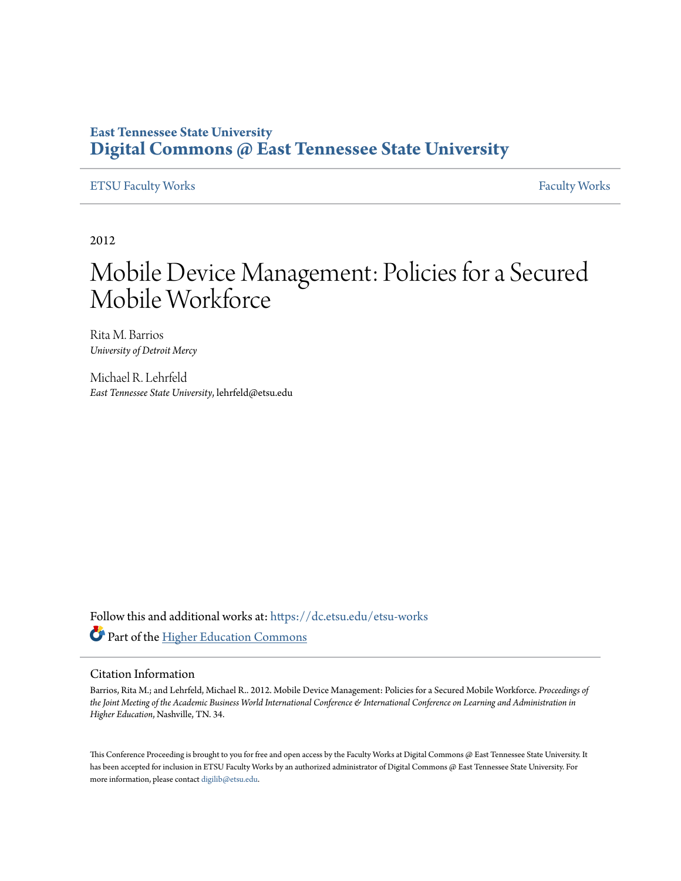## **East Tennessee State University [Digital Commons @ East Tennessee State University](https://dc.etsu.edu?utm_source=dc.etsu.edu%2Fetsu-works%2F3045&utm_medium=PDF&utm_campaign=PDFCoverPages)**

#### [ETSU Faculty Works](https://dc.etsu.edu/etsu-works?utm_source=dc.etsu.edu%2Fetsu-works%2F3045&utm_medium=PDF&utm_campaign=PDFCoverPages) [Faculty Works](https://dc.etsu.edu/faculty-works?utm_source=dc.etsu.edu%2Fetsu-works%2F3045&utm_medium=PDF&utm_campaign=PDFCoverPages) Faculty Works

2012

# Mobile Device Management: Policies for a Secured Mobile Workforce

Rita M. Barrios *University of Detroit Mercy*

Michael R. Lehrfeld *East Tennessee State University*, lehrfeld@etsu.edu

Follow this and additional works at: [https://dc.etsu.edu/etsu-works](https://dc.etsu.edu/etsu-works?utm_source=dc.etsu.edu%2Fetsu-works%2F3045&utm_medium=PDF&utm_campaign=PDFCoverPages) Part of the [Higher Education Commons](http://network.bepress.com/hgg/discipline/1245?utm_source=dc.etsu.edu%2Fetsu-works%2F3045&utm_medium=PDF&utm_campaign=PDFCoverPages)

#### Citation Information

Barrios, Rita M.; and Lehrfeld, Michael R.. 2012. Mobile Device Management: Policies for a Secured Mobile Workforce. *Proceedings of the Joint Meeting of the Academic Business World International Conference & International Conference on Learning and Administration in Higher Education*, Nashville, TN. 34.

This Conference Proceeding is brought to you for free and open access by the Faculty Works at Digital Commons @ East Tennessee State University. It has been accepted for inclusion in ETSU Faculty Works by an authorized administrator of Digital Commons @ East Tennessee State University. For more information, please contact [digilib@etsu.edu.](mailto:digilib@etsu.edu)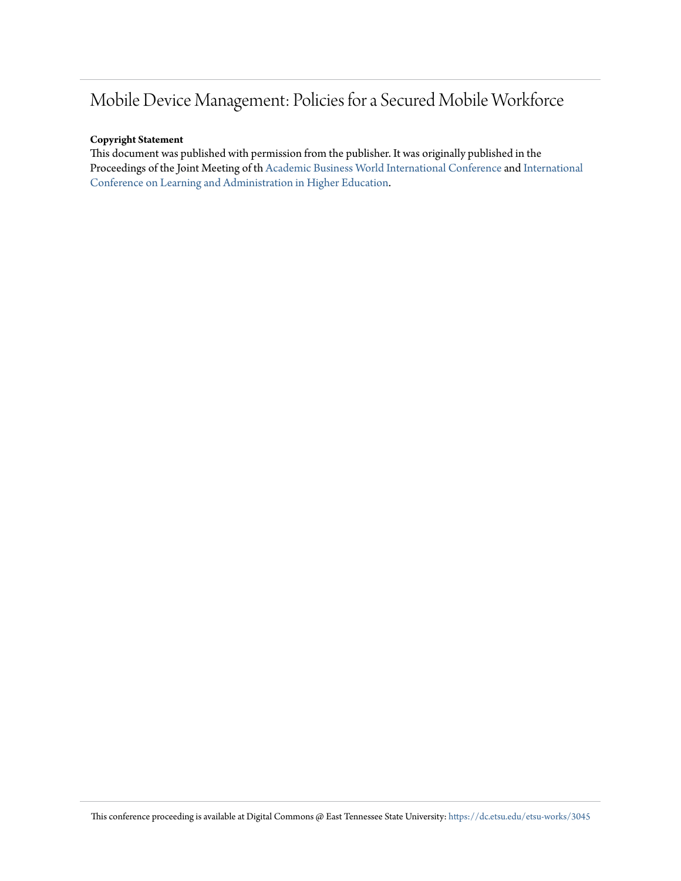## Mobile Device Management: Policies for a Secured Mobile Workforce

#### **Copyright Statement**

This document was published with permission from the publisher. It was originally published in the Proceedings of the Joint Meeting of th [Academic Business World International Conference](http://abwic.org/) and [International](http://iclahe.org/) [Conference on Learning and Administration in Higher Education](http://iclahe.org/).

This conference proceeding is available at Digital Commons @ East Tennessee State University: [https://dc.etsu.edu/etsu-works/3045](https://dc.etsu.edu/etsu-works/3045?utm_source=dc.etsu.edu%2Fetsu-works%2F3045&utm_medium=PDF&utm_campaign=PDFCoverPages)